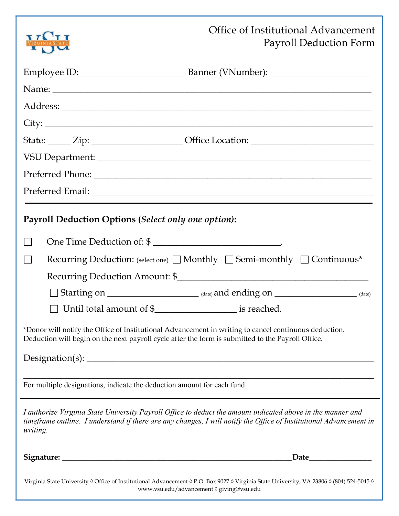|                                                                                                                                                                                                            | TT <b>U</b> TT                                      | Office of Institutional Advancement                                                                                                                                                                                               | Payroll Deduction Form |  |  |  |
|------------------------------------------------------------------------------------------------------------------------------------------------------------------------------------------------------------|-----------------------------------------------------|-----------------------------------------------------------------------------------------------------------------------------------------------------------------------------------------------------------------------------------|------------------------|--|--|--|
|                                                                                                                                                                                                            |                                                     |                                                                                                                                                                                                                                   |                        |  |  |  |
|                                                                                                                                                                                                            |                                                     |                                                                                                                                                                                                                                   |                        |  |  |  |
|                                                                                                                                                                                                            |                                                     |                                                                                                                                                                                                                                   |                        |  |  |  |
|                                                                                                                                                                                                            |                                                     |                                                                                                                                                                                                                                   |                        |  |  |  |
|                                                                                                                                                                                                            |                                                     | $\text{City:}\_\_$                                                                                                                                                                                                                |                        |  |  |  |
|                                                                                                                                                                                                            |                                                     | State: <u>Zip: Zip: Office Location:</u>                                                                                                                                                                                          |                        |  |  |  |
|                                                                                                                                                                                                            |                                                     |                                                                                                                                                                                                                                   |                        |  |  |  |
|                                                                                                                                                                                                            |                                                     |                                                                                                                                                                                                                                   |                        |  |  |  |
|                                                                                                                                                                                                            |                                                     |                                                                                                                                                                                                                                   |                        |  |  |  |
|                                                                                                                                                                                                            | Payroll Deduction Options (Select only one option): |                                                                                                                                                                                                                                   |                        |  |  |  |
|                                                                                                                                                                                                            |                                                     | One Time Deduction of: \$                                                                                                                                                                                                         |                        |  |  |  |
|                                                                                                                                                                                                            |                                                     | Recurring Deduction: (select one) $\Box$ Monthly $\Box$ Semi-monthly $\Box$ Continuous*                                                                                                                                           |                        |  |  |  |
|                                                                                                                                                                                                            |                                                     |                                                                                                                                                                                                                                   |                        |  |  |  |
|                                                                                                                                                                                                            |                                                     |                                                                                                                                                                                                                                   |                        |  |  |  |
|                                                                                                                                                                                                            |                                                     | □ Until total amount of \$_______________________ is reached.                                                                                                                                                                     |                        |  |  |  |
| *Donor will notify the Office of Institutional Advancement in writing to cancel continuous deduction.<br>Deduction will begin on the next payroll cycle after the form is submitted to the Payroll Office. |                                                     |                                                                                                                                                                                                                                   |                        |  |  |  |
|                                                                                                                                                                                                            |                                                     |                                                                                                                                                                                                                                   |                        |  |  |  |
| For multiple designations, indicate the deduction amount for each fund.                                                                                                                                    |                                                     |                                                                                                                                                                                                                                   |                        |  |  |  |
| writing.                                                                                                                                                                                                   |                                                     | I authorize Virginia State University Payroll Office to deduct the amount indicated above in the manner and<br>timeframe outline. I understand if there are any changes, I will notify the Office of Institutional Advancement in |                        |  |  |  |
|                                                                                                                                                                                                            |                                                     |                                                                                                                                                                                                                                   |                        |  |  |  |
| Virginia State University ◊ Office of Institutional Advancement ◊ P.O. Box 9027 ◊ Virginia State University, VA 23806 ◊ (804) 524-5045 ◊<br>www.vsu.edu/advancement 0 giving@vsu.edu                       |                                                     |                                                                                                                                                                                                                                   |                        |  |  |  |